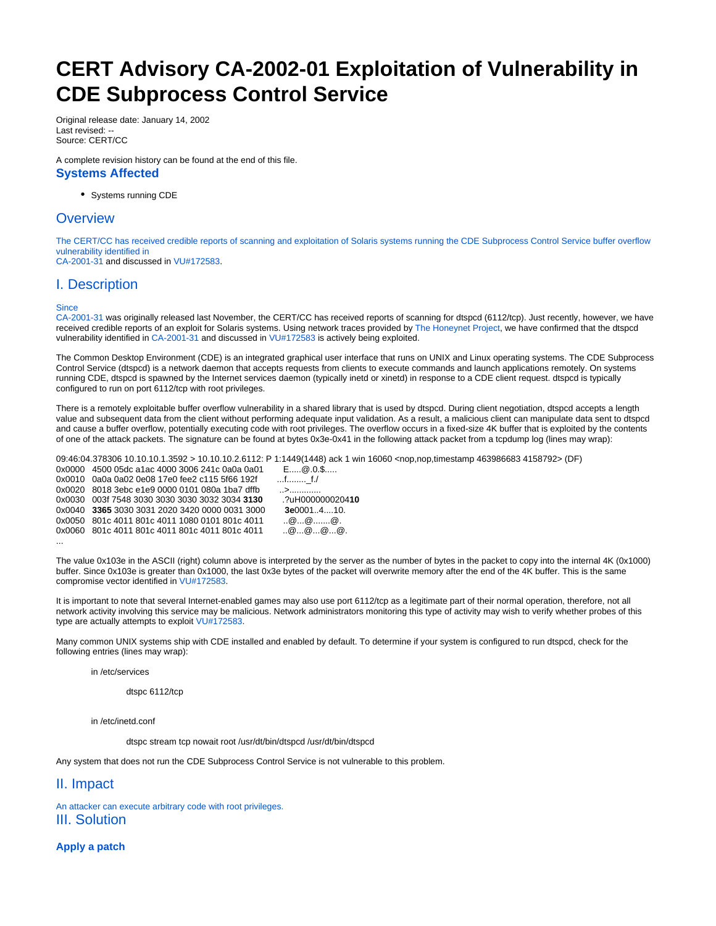# **CERT Advisory CA-2002-01 Exploitation of Vulnerability in CDE Subprocess Control Service**

Original release date: January 14, 2002 Last revised: -- Source: CERT/CC

A complete revision history can be found at the end of this file. **Systems Affected**

Systems running CDE

## **Overview**

The CERT/CC has received credible reports of scanning and exploitation of Solaris systems running the CDE Subprocess Control Service buffer overflow vulnerability identified in

[CA-2001-31](http://www.cert.org/advisories/CA-2001-31.html) and discussed in [VU#172583](http://www.kb.cert.org/vuls/id/172583).

## I. Description

**Since** 

[CA-2001-31](http://www.cert.org/advisories/CA-2001-31.html) was originally released last November, the CERT/CC has received reports of scanning for dtspcd (6112/tcp). Just recently, however, we have received credible reports of an exploit for Solaris systems. Using network traces provided by [The Honeynet Project,](http://project.honeynet.org) we have confirmed that the dtspcd vulnerability identified in [CA-2001-31](http://www.cert.org/advisories/CA-2001-31.html) and discussed in [VU#172583](http://www.kb.cert.org/vuls/id/172583) is actively being exploited.

The Common Desktop Environment (CDE) is an integrated graphical user interface that runs on UNIX and Linux operating systems. The CDE Subprocess Control Service (dtspcd) is a network daemon that accepts requests from clients to execute commands and launch applications remotely. On systems running CDE, dtspcd is spawned by the Internet services daemon (typically inetd or xinetd) in response to a CDE client request. dtspcd is typically configured to run on port 6112/tcp with root privileges.

There is a remotely exploitable buffer overflow vulnerability in a shared library that is used by dtspcd. During client negotiation, dtspcd accepts a length value and subsequent data from the client without performing adequate input validation. As a result, a malicious client can manipulate data sent to dtspcd and cause a buffer overflow, potentially executing code with root privileges. The overflow occurs in a fixed-size 4K buffer that is exploited by the contents of one of the attack packets. The signature can be found at bytes 0x3e-0x41 in the following attack packet from a tcpdump log (lines may wrap):

09:46:04.378306 10.10.10.1.3592 > 10.10.10.2.6112: P 1:1449(1448) ack 1 win 16060 <nop,nop,timestamp 463986683 4158792> (DF)

0x0030 003f 7548 3030 3030 3030 3032 3034 **3130** .?uH0000000204**10** 0x0040 **3365** 3030 3031 2020 3420 0000 0031 3000 **3e**0001..4....10.  $\ldots @ \ldots @ \ldots @ \ldots @ \ldots @ \ldots @ \ldots$ 0x0060 801c 4011 801c 4011 801c 4011 801c 4011 ..@...@...@...@.

 $E$ .....@.0.\$..... .f........<u>..</u>f./

|          | 0x0000 4500 05dc a1ac 4000 3006 241c 0a0a 0a01 | $E$ $\omega$ .0.        |
|----------|------------------------------------------------|-------------------------|
|          | 0x0010 0a0a 0a02 0e08 17e0 fee2 c115 5f66 192f |                         |
|          | 0x0020 8018 3ebc e1e9 0000 0101 080a 1ba7 dffb | >                       |
|          | 0x0030 003f 7548 3030 3030 3030 3032 3034 3130 | .?uH0000                |
|          | 0x0040 3365 3030 3031 2020 3420 0000 0031 3000 | 3e00014                 |
|          | 0x0050 801c 4011 801c 4011 1080 0101 801c 4011 | $\dots @ \dots @ \dots$ |
|          | 0x0060 801c 4011 801c 4011 801c 4011 801c 4011 | $\alpha$ $\alpha$       |
| $\cdots$ |                                                |                         |

The value 0x103e in the ASCII (right) column above is interpreted by the server as the number of bytes in the packet to copy into the internal 4K (0x1000) buffer. Since 0x103e is greater than 0x1000, the last 0x3e bytes of the packet will overwrite memory after the end of the 4K buffer. This is the same compromise vector identified in [VU#172583](http://www.kb.cert.org/vuls/id/172583).

It is important to note that several Internet-enabled games may also use port 6112/tcp as a legitimate part of their normal operation, therefore, not all network activity involving this service may be malicious. Network administrators monitoring this type of activity may wish to verify whether probes of this type are actually attempts to exploit [VU#172583](http://www.kb.cert.org/vuls/id/172583).

Many common UNIX systems ship with CDE installed and enabled by default. To determine if your system is configured to run dtspcd, check for the following entries (lines may wrap):

in /etc/services

dtspc 6112/tcp

in /etc/inetd.conf

dtspc stream tcp nowait root /usr/dt/bin/dtspcd /usr/dt/bin/dtspcd

Any system that does not run the CDE Subprocess Control Service is not vulnerable to this problem.

II. Impact

An attacker can execute arbitrary code with root privileges. III. Solution

**Apply a patch**